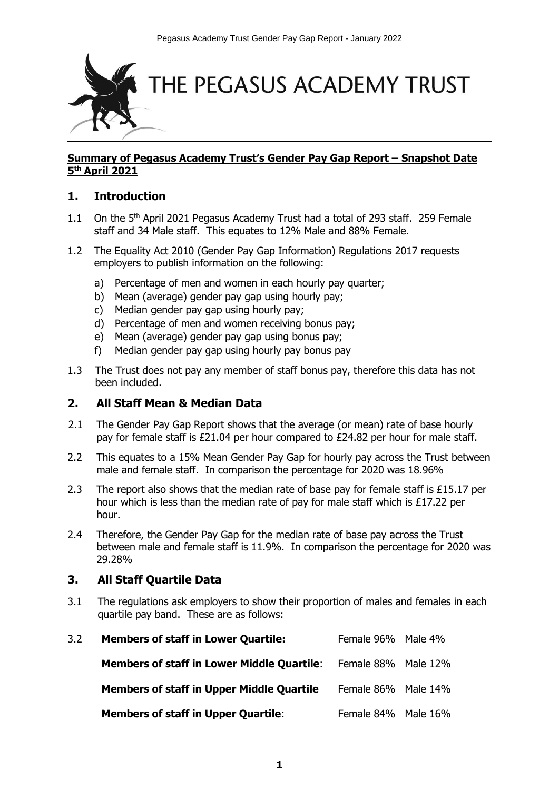

#### **Summary of Pegasus Academy Trust's Gender Pay Gap Report – Snapshot Date 5 th April 2021**

# **1. Introduction**

- 1.1 On the 5<sup>th</sup> April 2021 Pegasus Academy Trust had a total of 293 staff. 259 Female staff and 34 Male staff. This equates to 12% Male and 88% Female.
- 1.2 The Equality Act 2010 (Gender Pay Gap Information) Regulations 2017 requests employers to publish information on the following:
	- a) Percentage of men and women in each hourly pay quarter;
	- b) Mean (average) gender pay gap using hourly pay;
	- c) Median gender pay gap using hourly pay;
	- d) Percentage of men and women receiving bonus pay;
	- e) Mean (average) gender pay gap using bonus pay;
	- f) Median gender pay gap using hourly pay bonus pay
- 1.3 The Trust does not pay any member of staff bonus pay, therefore this data has not been included.

# **2. All Staff Mean & Median Data**

- 2.1 The Gender Pay Gap Report shows that the average (or mean) rate of base hourly pay for female staff is £21.04 per hour compared to £24.82 per hour for male staff.
- 2.2 This equates to a 15% Mean Gender Pay Gap for hourly pay across the Trust between male and female staff. In comparison the percentage for 2020 was 18.96%
- 2.3 The report also shows that the median rate of base pay for female staff is  $£15.17$  per hour which is less than the median rate of pay for male staff which is £17.22 per hour.
- 2.4 Therefore, the Gender Pay Gap for the median rate of base pay across the Trust between male and female staff is 11.9%. In comparison the percentage for 2020 was 29.28%

# **3. All Staff Quartile Data**

3.1 The regulations ask employers to show their proportion of males and females in each quartile pay band. These are as follows:

| 3.2 | <b>Members of staff in Lower Quartile:</b>        | Female 96% Male 4%  |  |
|-----|---------------------------------------------------|---------------------|--|
|     | <b>Members of staff in Lower Middle Quartile:</b> | Female 88% Male 12% |  |
|     | <b>Members of staff in Upper Middle Quartile</b>  | Female 86% Male 14% |  |
|     | <b>Members of staff in Upper Quartile:</b>        | Female 84% Male 16% |  |